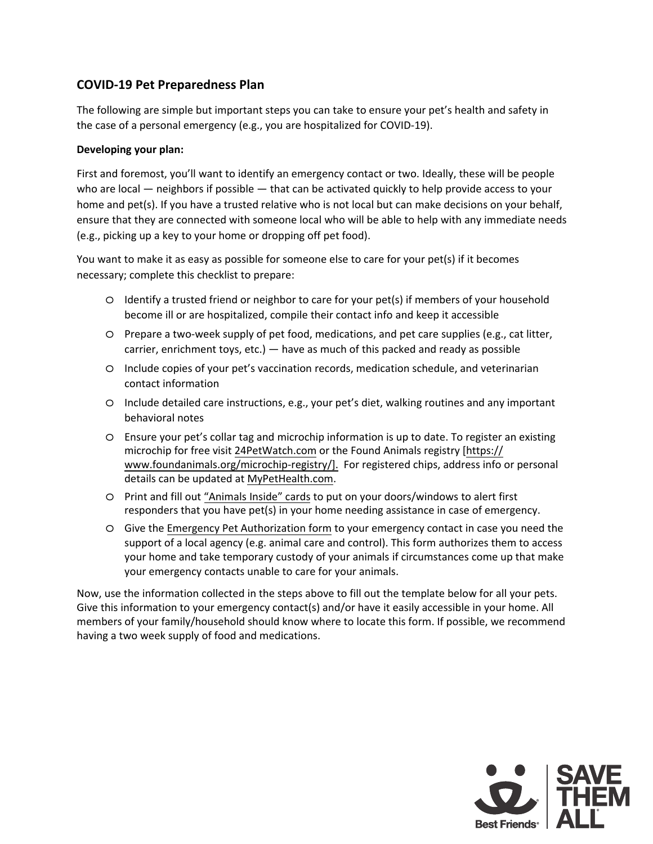## **COVID-19 Pet Preparedness Plan**

The following are simple but important steps you can take to ensure your pet's health and safety in the case of a personal emergency (e.g., you are hospitalized for COVID-19).

## **Developing your plan:**

First and foremost, you'll want to identify an emergency contact or two. Ideally, these will be people who are local — neighbors if possible — that can be activated quickly to help provide access to your home and pet(s). If you have a trusted relative who is not local but can make decisions on your behalf, ensure that they are connected with someone local who will be able to help with any immediate needs (e.g., picking up a key to your home or dropping off pet food).

You want to make it as easy as possible for someone else to care for your pet(s) if it becomes necessary; complete this checklist to prepare:

- o Identify a trusted friend or neighbor to care for your pet(s) if members of your household become ill or are hospitalized, compile their contact info and keep it accessible
- o Prepare a two-week supply of pet food, medications, and pet care supplies (e.g., cat litter, carrier, enrichment toys, etc.) — have as much of this packed and ready as possible
- o Include copies of your pet's vaccination records, medication schedule, and veterinarian contact information
- o Include detailed care instructions, e.g., your pet's diet, walking routines and any important behavioral notes
- o Ensure your pet's collar tag and microchip information is up to date. To register an existing microchip for free visit [24PetWatch.com](https://microchip.24petwatch.com/) or the Found Animals registry [https:// [www.foundanimals.org/microchip-registry/\]. For registered chips, address info](https://www.foundanimals.org/microchip-registry/) or personal details can be updated at [MyPetHealth.com.](https://mypethealth.com/Account/Login?ReturnUrl=%2F)
- o Print and fill [out "Animals Inside" card](https://support.bestfriends.org/site/DocServer/BFAS_Animals_Inside_cards.pdf?docID=1087)s to put on your doors/windows to alert first responders that you have pet(s) in your home needing assistance in case of emergency.
- o Give t[he Emergency Pet Authorization for](https://resc-files-prod.s3.us-west-1.amazonaws.com/s3fs-public/inline-files/200169_Urgent%20COVID%20pdf%20form.pdf?ZXnwLt9LC5h8CEkL1s5Pais9ZUMH5_bF)m to your emergency contact in case you need the support of a local agency (e.g. animal care and control). This form authorizes them to access your home and take temporary custody of your animals if circumstances come up that make your emergency contacts unable to care for your animals.

Now, use the information collected in the steps above to fill out the template below for all your pets. Give this information to your emergency contact(s) and/or have it easily accessible in your home. All members of your family/household should know where to locate this form. If possible, we recommend having a two week supply of food and medications.